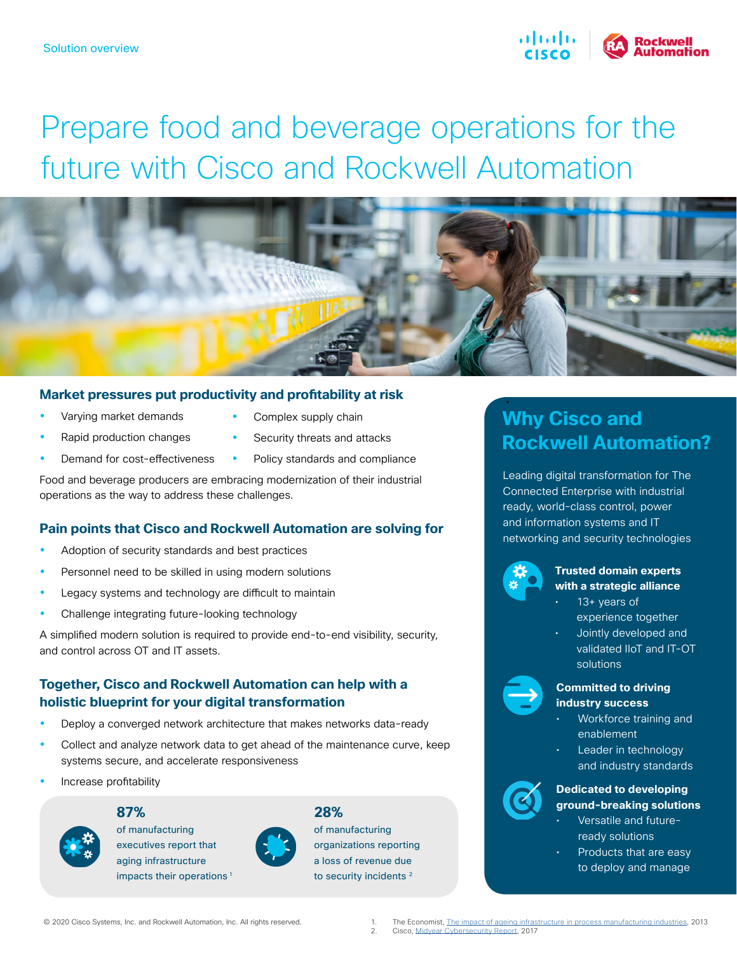

# Prepare food and beverage operations for the future with Cisco and Rockwell Automation



### **Market pressures put productivity and profitability at risk**

- Varying market demands
- Rapid production changes
- Demand for cost-effectiveness
- Complex supply chain
- Security threats and attacks
- Policy standards and compliance

Food and beverage producers are embracing modernization of their industrial operations as the way to address these challenges.

### **Pain points that Cisco and Rockwell Automation are solving for**

- Adoption of security standards and best practices
- Personnel need to be skilled in using modern solutions
- Legacy systems and technology are difficult to maintain
- Challenge integrating future-looking technology

A simplified modern solution is required to provide end-to-end visibility, security, and control across OT and IT assets.

### **Together, Cisco and Rockwell Automation can help with a holistic blueprint for your digital transformation**

- Deploy a converged network architecture that makes networks data-ready
- Collect and analyze network data to get ahead of the maintenance curve, keep systems secure, and accelerate responsiveness
- y Increase profitability



**87%**

of manufacturing executives report that aging infrastructure impacts their operations<sup>1</sup>



## **28%**

of manufacturing organizations reporting a loss of revenue due to security incidents<sup>2</sup>

### • **Why Cisco and Rockwell Automation?**

Leading digital transformation for The Connected Enterprise with industrial ready, world-class control, power and information systems and IT networking and security technologies



### **Trusted domain experts with a strategic alliance**

- 13+ years of experience together
- Jointly developed and validated IIoT and IT-OT solutions



#### **Committed to driving industry success**

- Workforce training and enablement
- Leader in technology and industry standards



- Versatile and futureready solutions
- Products that are easy to deploy and manage

1. The Economist, [The impact of ageing infrastructure in process manufacturing industries,](https://www.chemengonline.com/Assets/whitepapers/Oracle_PPM_US_EN_WP_TheImpactofAgeing.pdf) 2013<br>2. Cisco Midvear Cybersecurity Report, 2017 2. Cisco, [Midyear Cybersecurity Report,](https://www.cisco.com/c/dam/global/es_mx/solutions/security/pdf/cisco-2017-midyear-cybersecurity-report.pdf) 2017